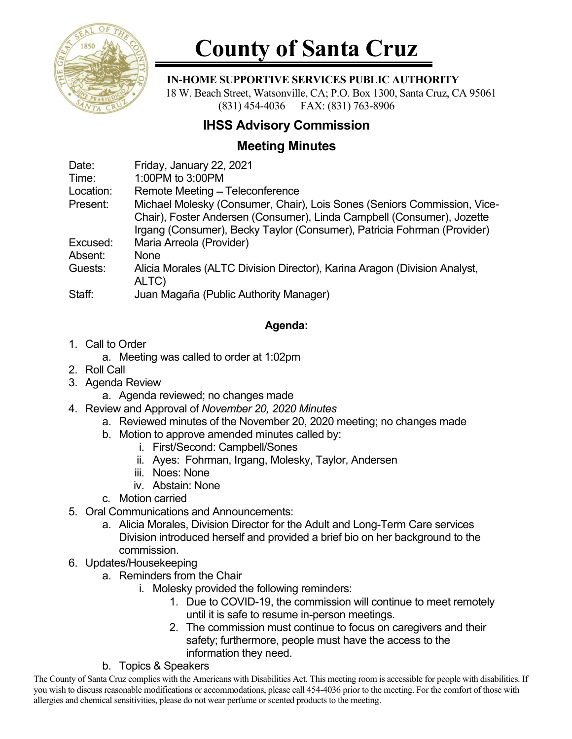

# County of Santa Cruz

#### IN-HOME SUPPORTIVE SERVICES PUBLIC AUTHORITY

 18 W. Beach Street, Watsonville, CA; P.O. Box 1300, Santa Cruz, CA 95061 (831) 454-4036 FAX: (831) 763-8906

## IHSS Advisory Commission

### Meeting Minutes

| Date:     | Friday, January 22, 2021                                                  |
|-----------|---------------------------------------------------------------------------|
| Time:     | 1:00PM to 3:00PM                                                          |
| Location: | Remote Meeting - Teleconference                                           |
| Present:  | Michael Molesky (Consumer, Chair), Lois Sones (Seniors Commission, Vice-  |
|           | Chair), Foster Andersen (Consumer), Linda Campbell (Consumer), Jozette    |
|           | Irgang (Consumer), Becky Taylor (Consumer), Patricia Fohrman (Provider)   |
| Excused:  | Maria Arreola (Provider)                                                  |
| Absent:   | <b>None</b>                                                               |
| Guests:   | Alicia Morales (ALTC Division Director), Karina Aragon (Division Analyst, |
|           | ALTC)                                                                     |
| Staff:    | Juan Magaña (Public Authority Manager)                                    |

#### Agenda:

- 1. Call to Order
	- a. Meeting was called to order at 1:02pm
- 2. Roll Call
- 3. Agenda Review
	- a. Agenda reviewed; no changes made
- 4. Review and Approval of November 20, 2020 Minutes
	- a. Reviewed minutes of the November 20, 2020 meeting; no changes made
	- b. Motion to approve amended minutes called by:
		- i. First/Second: Campbell/Sones
		- ii. Ayes: Fohrman, Irgang, Molesky, Taylor, Andersen
		- iii. Noes: None
		- iv. Abstain: None
	- c. Motion carried
- 5. Oral Communications and Announcements:
	- a. Alicia Morales, Division Director for the Adult and Long-Term Care services Division introduced herself and provided a brief bio on her background to the commission.
- 6. Updates/Housekeeping
	- a. Reminders from the Chair
		- i. Molesky provided the following reminders:
			- 1. Due to COVID-19, the commission will continue to meet remotely until it is safe to resume in-person meetings.
			- 2. The commission must continue to focus on caregivers and their safety; furthermore, people must have the access to the information they need.
	- b. Topics & Speakers

The County of Santa Cruz complies with the Americans with Disabilities Act. This meeting room is accessible for people with disabilities. If you wish to discuss reasonable modifications or accommodations, please call 454-4036 prior to the meeting. For the comfort of those with allergies and chemical sensitivities, please do not wear perfume or scented products to the meeting.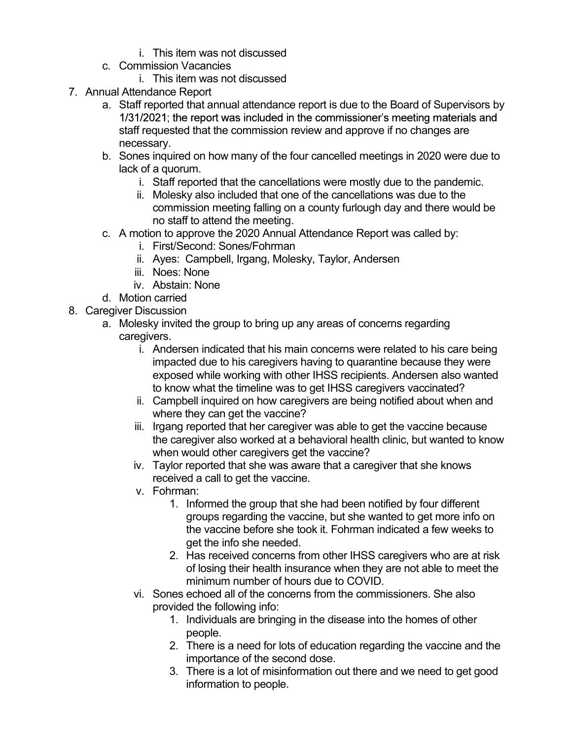- 
- - i. This item was not discussed
- 7. Annual Attendance Report
- i. This item was not discussed<br>i. This item was not discussed<br>i. This item was not discussed<br>endance Report<br>f reported that annual attendance report is due to the Board of Supe i. This item was not discussed<br>
c. Commission Vacancies<br>
i. This item was not discussed<br>
ual Attendance Report<br>
a. Staff reported that annual attendance report is due to the Board of<br>
1/31/2021; the report was included in a. Staff reported that annual attendance report is due to the Board of Supervisors by staff requested that the commission review and approve if no changes are necessary.
	- b. Sones inquired on how many of the four cancelled meetings in 2020 were due to lack of a quorum.
		- i. Staff reported that the cancellations were mostly due to the pandemic.
		- ii. Molesky also included that one of the cancellations was due to the commission meeting falling on a county furlough day and there would be no staff to attend the meeting.
	- c. A motion to approve the 2020 Annual Attendance Report was called by:
		- i. First/Second: Sones/Fohrman
		- ii. Ayes: Campbell, Irgang, Molesky, Taylor, Andersen
		- iii. Noes: None
		- iv. Abstain: None
	- d. Motion carried
- 8. Caregiver Discussion
	- a. Molesky invited the group to bring up any areas of concerns regarding caregivers.
		- i. Andersen indicated that his main concerns were related to his care being impacted due to his caregivers having to quarantine because they were exposed while working with other IHSS recipients. Andersen also wanted to know what the timeline was to get IHSS caregivers vaccinated?
		- ii. Campbell inquired on how caregivers are being notified about when and where they can get the vaccine?
		- iii. Irgang reported that her caregiver was able to get the vaccine because the caregiver also worked at a behavioral health clinic, but wanted to know when would other caregivers get the vaccine?
		- iv. Taylor reported that she was aware that a caregiver that she knows received a call to get the vaccine.
		- v. Fohrman:
			- 1. Informed the group that she had been notified by four different groups regarding the vaccine, but she wanted to get more info on the vaccine before she took it. Fohrman indicated a few weeks to get the info she needed.
			- 2. Has received concerns from other IHSS caregivers who are at risk of losing their health insurance when they are not able to meet the minimum number of hours due to COVID.
		- vi. Sones echoed all of the concerns from the commissioners. She also provided the following info:
			- 1. Individuals are bringing in the disease into the homes of other people.
			- 2. There is a need for lots of education regarding the vaccine and the importance of the second dose.
			- 3. There is a lot of misinformation out there and we need to get good information to people.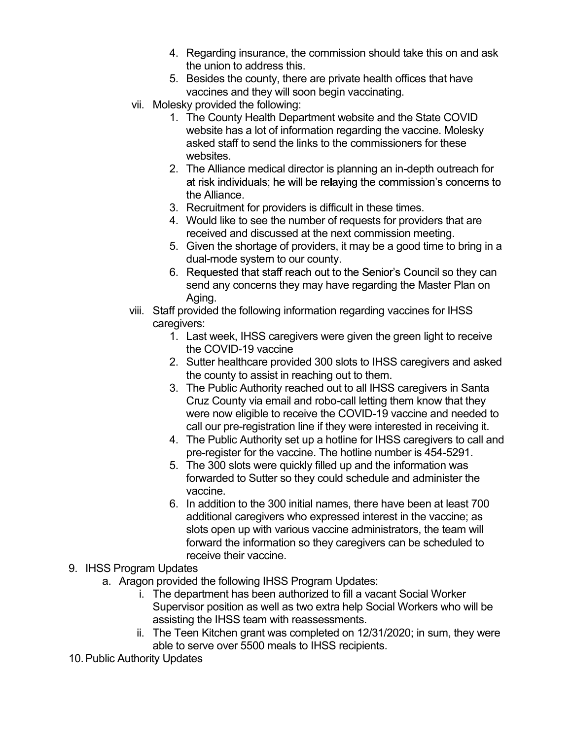- 4. Regarding insurance, the commission should take this on and ask<br>the union to address this.<br>5. Besides the county, there are private health offices that have<br>vaccines and they will soon begin vaccinating.<br>lesky provided the union to address this.
- 5. Besides the county, there are private health offices that have vaccines and they will soon begin vaccinating.
- vii. Molesky provided the following:
	- 1. The County Health Department website and the State COVID website has a lot of information regarding the vaccine. Molesky asked staff to send the links to the commissioners for these websites.
	- 2. The Alliance medical director is planning an in-depth outreach for at risk individuals; he will be relaying the commission's concerns to the Alliance.
	- 3. Recruitment for providers is difficult in these times.
	- 4. Would like to see the number of requests for providers that are received and discussed at the next commission meeting.
	- 5. Given the shortage of providers, it may be a good time to bring in a dual-mode system to our county.
	- 6. Requested that staff reach out to the Senior's Council so they can send any concerns they may have regarding the Master Plan on Aging.
- viii. Staff provided the following information regarding vaccines for IHSS caregivers:
	- 1. Last week, IHSS caregivers were given the green light to receive the COVID-19 vaccine
	- 2. Sutter healthcare provided 300 slots to IHSS caregivers and asked the county to assist in reaching out to them.
	- 3. The Public Authority reached out to all IHSS caregivers in Santa Cruz County via email and robo-call letting them know that they were now eligible to receive the COVID-19 vaccine and needed to call our pre-registration line if they were interested in receiving it.
	- 4. The Public Authority set up a hotline for IHSS caregivers to call and pre-register for the vaccine. The hotline number is 454-5291.
	- 5. The 300 slots were quickly filled up and the information was forwarded to Sutter so they could schedule and administer the vaccine.
	- 6. In addition to the 300 initial names, there have been at least 700 additional caregivers who expressed interest in the vaccine; as slots open up with various vaccine administrators, the team will forward the information so they caregivers can be scheduled to receive their vaccine.
- 9. IHSS Program Updates
	- a. Aragon provided the following IHSS Program Updates:
		- i. The department has been authorized to fill a vacant Social Worker Supervisor position as well as two extra help Social Workers who will be assisting the IHSS team with reassessments.
		- ii. The Teen Kitchen grant was completed on 12/31/2020; in sum, they were able to serve over 5500 meals to IHSS recipients.
- 10. Public Authority Updates